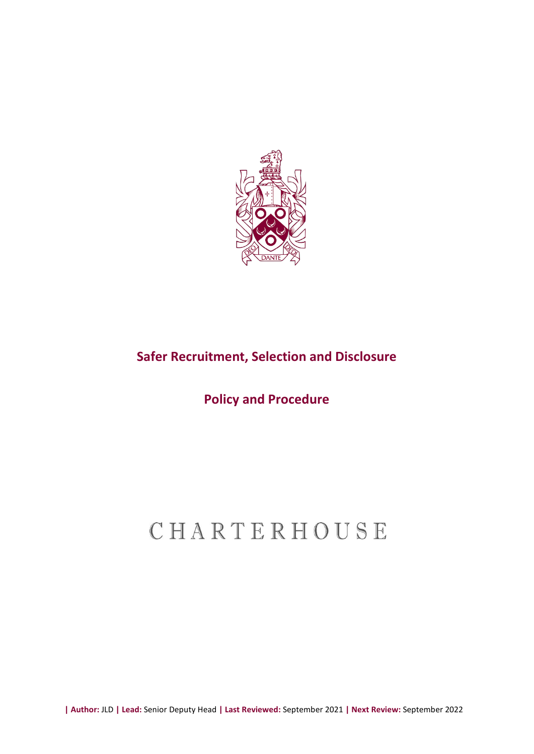

# **Safer Recruitment, Selection and Disclosure**

# **Policy and Procedure**

# CHARTERHOUSE

**| Author:** JLD **| Lead:** Senior Deputy Head **| Last Reviewed:** September 2021 **| Next Review:** September 2022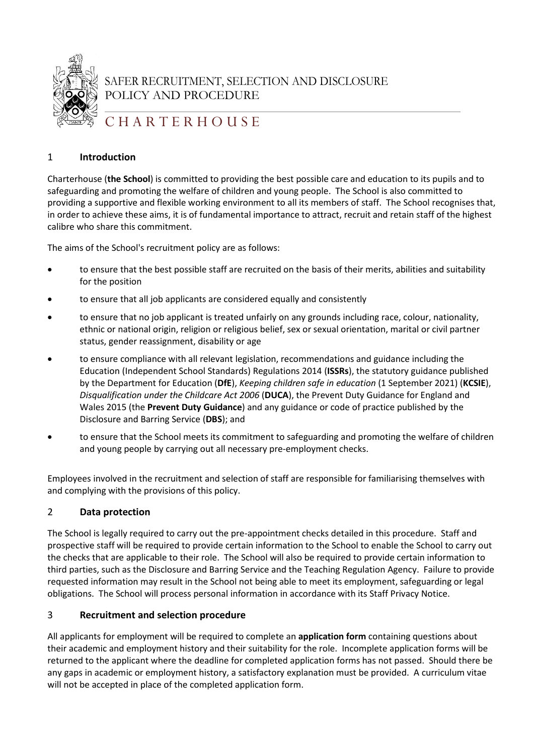

SAFER RECRUITMENT, SELECTION AND DISCLOSURE POLICY AND PROCEDURE

# C H A R T E R H O U S E

# 1 **Introduction**

Charterhouse (**the School**) is committed to providing the best possible care and education to its pupils and to safeguarding and promoting the welfare of children and young people. The School is also committed to providing a supportive and flexible working environment to all its members of staff. The School recognises that, in order to achieve these aims, it is of fundamental importance to attract, recruit and retain staff of the highest calibre who share this commitment.

The aims of the School's recruitment policy are as follows:

- to ensure that the best possible staff are recruited on the basis of their merits, abilities and suitability for the position
- to ensure that all job applicants are considered equally and consistently
- to ensure that no job applicant is treated unfairly on any grounds including race, colour, nationality, ethnic or national origin, religion or religious belief, sex or sexual orientation, marital or civil partner status, gender reassignment, disability or age
- to ensure compliance with all relevant legislation, recommendations and guidance including the Education (Independent School Standards) Regulations 2014 (**ISSRs**), the statutory guidance published by the Department for Education (**DfE**), *Keeping children safe in education* (1 September 2021) (**KCSIE**), *Disqualification under the Childcare Act 2006* (**DUCA**), the Prevent Duty Guidance for England and Wales 2015 (the **Prevent Duty Guidance**) and any guidance or code of practice published by the Disclosure and Barring Service (**DBS**); and
- to ensure that the School meets its commitment to safeguarding and promoting the welfare of children and young people by carrying out all necessary pre-employment checks.

Employees involved in the recruitment and selection of staff are responsible for familiarising themselves with and complying with the provisions of this policy.

# 2 **Data protection**

The School is legally required to carry out the pre-appointment checks detailed in this procedure. Staff and prospective staff will be required to provide certain information to the School to enable the School to carry out the checks that are applicable to their role. The School will also be required to provide certain information to third parties, such as the Disclosure and Barring Service and the Teaching Regulation Agency. Failure to provide requested information may result in the School not being able to meet its employment, safeguarding or legal obligations. The School will process personal information in accordance with its Staff Privacy Notice.

# 3 **Recruitment and selection procedure**

All applicants for employment will be required to complete an **application form** containing questions about their academic and employment history and their suitability for the role. Incomplete application forms will be returned to the applicant where the deadline for completed application forms has not passed. Should there be any gaps in academic or employment history, a satisfactory explanation must be provided. A curriculum vitae will not be accepted in place of the completed application form.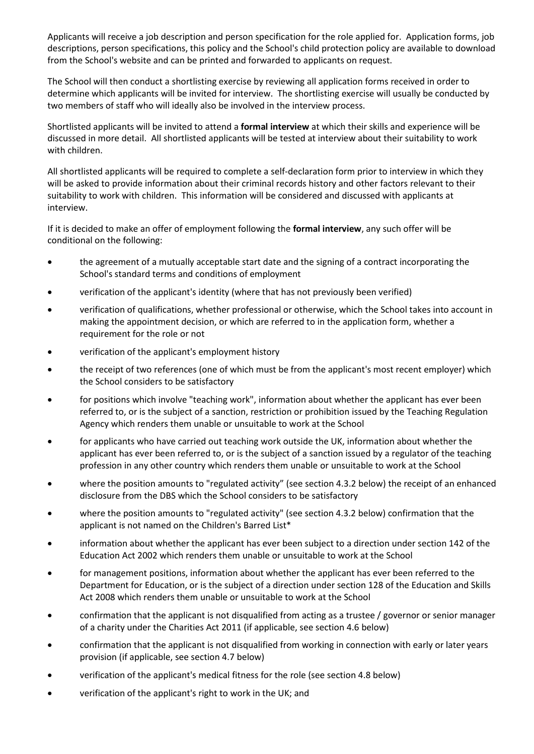Applicants will receive a job description and person specification for the role applied for. Application forms, job descriptions, person specifications, this policy and the School's child protection policy are available to download from the School's website and can be printed and forwarded to applicants on request.

The School will then conduct a shortlisting exercise by reviewing all application forms received in order to determine which applicants will be invited for interview. The shortlisting exercise will usually be conducted by two members of staff who will ideally also be involved in the interview process.

Shortlisted applicants will be invited to attend a **formal interview** at which their skills and experience will be discussed in more detail. All shortlisted applicants will be tested at interview about their suitability to work with children.

All shortlisted applicants will be required to complete a self-declaration form prior to interview in which they will be asked to provide information about their criminal records history and other factors relevant to their suitability to work with children. This information will be considered and discussed with applicants at interview.

If it is decided to make an offer of employment following the **formal interview**, any such offer will be conditional on the following:

- the agreement of a mutually acceptable start date and the signing of a contract incorporating the School's standard terms and conditions of employment
- verification of the applicant's identity (where that has not previously been verified)
- verification of qualifications, whether professional or otherwise, which the School takes into account in making the appointment decision, or which are referred to in the application form, whether a requirement for the role or not
- verification of the applicant's employment history
- the receipt of two references (one of which must be from the applicant's most recent employer) which the School considers to be satisfactory
- for positions which involve "teaching work", information about whether the applicant has ever been referred to, or is the subject of a sanction, restriction or prohibition issued by the Teaching Regulation Agency which renders them unable or unsuitable to work at the School
- for applicants who have carried out teaching work outside the UK, information about whether the applicant has ever been referred to, or is the subject of a sanction issued by a regulator of the teaching profession in any other country which renders them unable or unsuitable to work at the School
- where the position amounts to "regulated activity" (see section [4.3.2](#page-6-0) below) the receipt of an enhanced disclosure from the DBS which the School considers to be satisfactory
- where the position amounts to "regulated activity" (see sectio[n 4.3.2](#page-6-0) below) confirmation that the applicant is not named on the Children's Barred List\*
- information about whether the applicant has ever been subject to a direction under section 142 of the Education Act 2002 which renders them unable or unsuitable to work at the School
- for management positions, information about whether the applicant has ever been referred to the Department for Education, or is the subject of a direction under section 128 of the Education and Skills Act 2008 which renders them unable or unsuitable to work at the School
- confirmation that the applicant is not disqualified from acting as a trustee / governor or senior manager of a charity under the Charities Act 2011 (if applicable, see section [4.6](#page-9-0) below)
- confirmation that the applicant is not disqualified from working in connection with early or later years provision (if applicable, see section 4.7 below)
- verification of the applicant's medical fitness for the role (see sectio[n 4.8](#page-10-0) below)
- verification of the applicant's right to work in the UK; and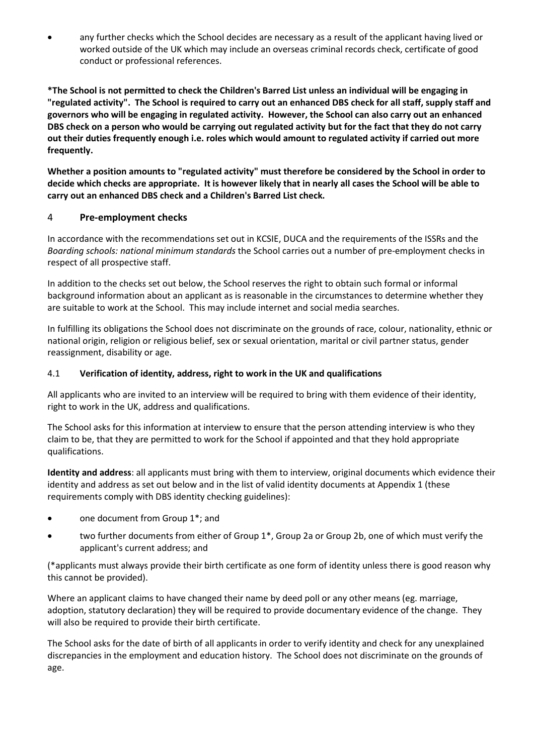• any further checks which the School decides are necessary as a result of the applicant having lived or worked outside of the UK which may include an overseas criminal records check, certificate of good conduct or professional references.

**\*The School is not permitted to check the Children's Barred List unless an individual will be engaging in "regulated activity". The School is required to carry out an enhanced DBS check for all staff, supply staff and governors who will be engaging in regulated activity. However, the School can also carry out an enhanced DBS check on a person who would be carrying out regulated activity but for the fact that they do not carry out their duties frequently enough i.e. roles which would amount to regulated activity if carried out more frequently.**

**Whether a position amounts to "regulated activity" must therefore be considered by the School in order to decide which checks are appropriate. It is however likely that in nearly all cases the School will be able to carry out an enhanced DBS check and a Children's Barred List check.**

# 4 **Pre-employment checks**

In accordance with the recommendations set out in KCSIE, DUCA and the requirements of the ISSRs and the *Boarding schools: national minimum standards* the School carries out a number of pre-employment checks in respect of all prospective staff.

In addition to the checks set out below, the School reserves the right to obtain such formal or informal background information about an applicant as is reasonable in the circumstances to determine whether they are suitable to work at the School. This may include internet and social media searches.

In fulfilling its obligations the School does not discriminate on the grounds of race, colour, nationality, ethnic or national origin, religion or religious belief, sex or sexual orientation, marital or civil partner status, gender reassignment, disability or age.

# <span id="page-3-0"></span>4.1 **Verification of identity, address, right to work in the UK and qualifications**

All applicants who are invited to an interview will be required to bring with them evidence of their identity, right to work in the UK, address and qualifications.

The School asks for this information at interview to ensure that the person attending interview is who they claim to be, that they are permitted to work for the School if appointed and that they hold appropriate qualifications.

**Identity and address**: all applicants must bring with them to interview, original documents which evidence their identity and address as set out below and in the list of valid identity documents at [Appendix 1](#page-14-0) (these requirements comply with DBS identity checking guidelines):

- one document from Group 1<sup>\*</sup>; and
- two further documents from either of Group 1\*, Group 2a or Group 2b, one of which must verify the applicant's current address; and

(\*applicants must always provide their birth certificate as one form of identity unless there is good reason why this cannot be provided).

Where an applicant claims to have changed their name by deed poll or any other means (eg. marriage, adoption, statutory declaration) they will be required to provide documentary evidence of the change. They will also be required to provide their birth certificate.

The School asks for the date of birth of all applicants in order to verify identity and check for any unexplained discrepancies in the employment and education history. The School does not discriminate on the grounds of age.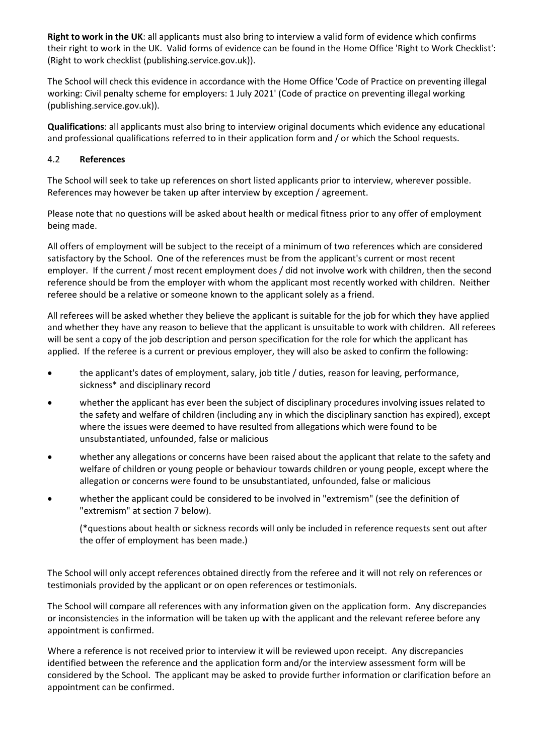**Right to work in the UK**: all applicants must also bring to interview a valid form of evidence which confirms their right to work in the UK. Valid forms of evidence can be found in the Home Office 'Right to Work Checklist': (Right to work checklist (publishing.service.gov.uk)).

The School will check this evidence in accordance with the Home Office 'Code of Practice on preventing illegal working: Civil penalty scheme for employers: 1 July 2021' (Code of practice on preventing illegal working (publishing.service.gov.uk)).

**Qualifications**: all applicants must also bring to interview original documents which evidence any educational and professional qualifications referred to in their application form and / or which the School requests.

#### 4.2 **References**

The School will seek to take up references on short listed applicants prior to interview, wherever possible. References may however be taken up after interview by exception / agreement.

Please note that no questions will be asked about health or medical fitness prior to any offer of employment being made.

All offers of employment will be subject to the receipt of a minimum of two references which are considered satisfactory by the School. One of the references must be from the applicant's current or most recent employer. If the current / most recent employment does / did not involve work with children, then the second reference should be from the employer with whom the applicant most recently worked with children. Neither referee should be a relative or someone known to the applicant solely as a friend.

All referees will be asked whether they believe the applicant is suitable for the job for which they have applied and whether they have any reason to believe that the applicant is unsuitable to work with children. All referees will be sent a copy of the job description and person specification for the role for which the applicant has applied. If the referee is a current or previous employer, they will also be asked to confirm the following:

- the applicant's dates of employment, salary, job title / duties, reason for leaving, performance, sickness\* and disciplinary record
- whether the applicant has ever been the subject of disciplinary procedures involving issues related to the safety and welfare of children (including any in which the disciplinary sanction has expired), except where the issues were deemed to have resulted from allegations which were found to be unsubstantiated, unfounded, false or malicious
- whether any allegations or concerns have been raised about the applicant that relate to the safety and welfare of children or young people or behaviour towards children or young people, except where the allegation or concerns were found to be unsubstantiated, unfounded, false or malicious
- whether the applicant could be considered to be involved in "extremism" (see the definition of "extremism" at section [7](#page-11-0) below).

(\*questions about health or sickness records will only be included in reference requests sent out after the offer of employment has been made.)

The School will only accept references obtained directly from the referee and it will not rely on references or testimonials provided by the applicant or on open references or testimonials.

The School will compare all references with any information given on the application form. Any discrepancies or inconsistencies in the information will be taken up with the applicant and the relevant referee before any appointment is confirmed.

Where a reference is not received prior to interview it will be reviewed upon receipt. Any discrepancies identified between the reference and the application form and/or the interview assessment form will be considered by the School. The applicant may be asked to provide further information or clarification before an appointment can be confirmed.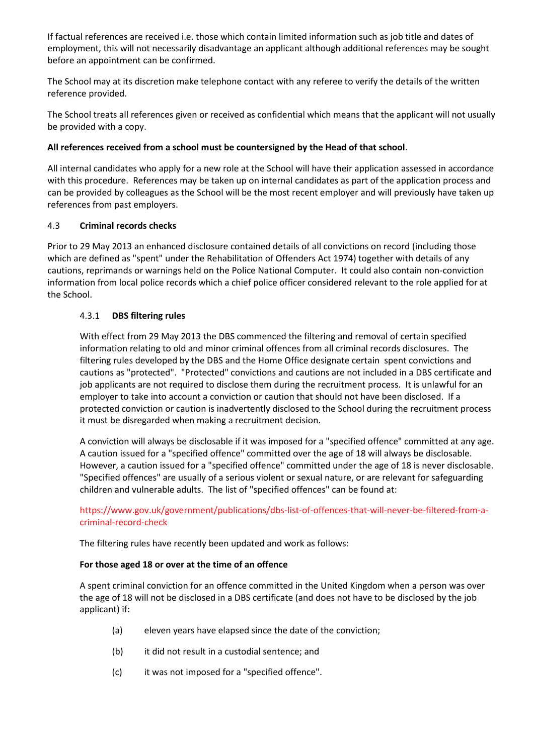If factual references are received i.e. those which contain limited information such as job title and dates of employment, this will not necessarily disadvantage an applicant although additional references may be sought before an appointment can be confirmed.

The School may at its discretion make telephone contact with any referee to verify the details of the written reference provided.

The School treats all references given or received as confidential which means that the applicant will not usually be provided with a copy.

#### **All references received from a school must be countersigned by the Head of that school**.

All internal candidates who apply for a new role at the School will have their application assessed in accordance with this procedure. References may be taken up on internal candidates as part of the application process and can be provided by colleagues as the School will be the most recent employer and will previously have taken up references from past employers.

#### 4.3 **Criminal records checks**

Prior to 29 May 2013 an enhanced disclosure contained details of all convictions on record (including those which are defined as "spent" under the Rehabilitation of Offenders Act 1974) together with details of any cautions, reprimands or warnings held on the Police National Computer. It could also contain non-conviction information from local police records which a chief police officer considered relevant to the role applied for at the School.

#### <span id="page-5-0"></span>4.3.1 **DBS filtering rules**

With effect from 29 May 2013 the DBS commenced the filtering and removal of certain specified information relating to old and minor criminal offences from all criminal records disclosures. The filtering rules developed by the DBS and the Home Office designate certain spent convictions and cautions as "protected". "Protected" convictions and cautions are not included in a DBS certificate and job applicants are not required to disclose them during the recruitment process. It is unlawful for an employer to take into account a conviction or caution that should not have been disclosed. If a protected conviction or caution is inadvertently disclosed to the School during the recruitment process it must be disregarded when making a recruitment decision.

A conviction will always be disclosable if it was imposed for a "specified offence" committed at any age. A caution issued for a "specified offence" committed over the age of 18 will always be disclosable. However, a caution issued for a "specified offence" committed under the age of 18 is never disclosable. "Specified offences" are usually of a serious violent or sexual nature, or are relevant for safeguarding children and vulnerable adults. The list of "specified offences" can be found at:

# [https://www.gov.uk/government/publications/dbs-list-of-offences-that-will-never-be-filtered-from-a](https://www.gov.uk/government/publications/dbs-list-of-offences-that-will-never-be-filtered-from-a-criminal-record-check)[criminal-record-check](https://www.gov.uk/government/publications/dbs-list-of-offences-that-will-never-be-filtered-from-a-criminal-record-check)

The filtering rules have recently been updated and work as follows:

#### **For those aged 18 or over at the time of an offence**

A spent criminal conviction for an offence committed in the United Kingdom when a person was over the age of 18 will not be disclosed in a DBS certificate (and does not have to be disclosed by the job applicant) if:

- (a) eleven years have elapsed since the date of the conviction;
- (b) it did not result in a custodial sentence; and
- (c) it was not imposed for a "specified offence".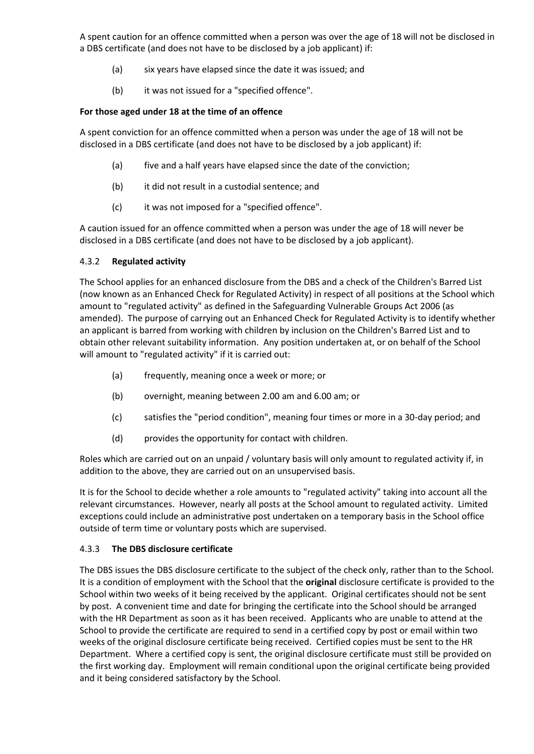A spent caution for an offence committed when a person was over the age of 18 will not be disclosed in a DBS certificate (and does not have to be disclosed by a job applicant) if:

- (a) six years have elapsed since the date it was issued; and
- (b) it was not issued for a "specified offence".

#### **For those aged under 18 at the time of an offence**

A spent conviction for an offence committed when a person was under the age of 18 will not be disclosed in a DBS certificate (and does not have to be disclosed by a job applicant) if:

- (a) five and a half years have elapsed since the date of the conviction;
- (b) it did not result in a custodial sentence; and
- (c) it was not imposed for a "specified offence".

A caution issued for an offence committed when a person was under the age of 18 will never be disclosed in a DBS certificate (and does not have to be disclosed by a job applicant).

#### <span id="page-6-0"></span>4.3.2 **Regulated activity**

The School applies for an enhanced disclosure from the DBS and a check of the Children's Barred List (now known as an Enhanced Check for Regulated Activity) in respect of all positions at the School which amount to "regulated activity" as defined in the Safeguarding Vulnerable Groups Act 2006 (as amended). The purpose of carrying out an Enhanced Check for Regulated Activity is to identify whether an applicant is barred from working with children by inclusion on the Children's Barred List and to obtain other relevant suitability information. Any position undertaken at, or on behalf of the School will amount to "regulated activity" if it is carried out:

- (a) frequently, meaning once a week or more; or
- (b) overnight, meaning between 2.00 am and 6.00 am; or
- (c) satisfies the "period condition", meaning four times or more in a 30-day period; and
- (d) provides the opportunity for contact with children.

Roles which are carried out on an unpaid / voluntary basis will only amount to regulated activity if, in addition to the above, they are carried out on an unsupervised basis.

It is for the School to decide whether a role amounts to "regulated activity" taking into account all the relevant circumstances. However, nearly all posts at the School amount to regulated activity. Limited exceptions could include an administrative post undertaken on a temporary basis in the School office outside of term time or voluntary posts which are supervised.

#### 4.3.3 **The DBS disclosure certificate**

The DBS issues the DBS disclosure certificate to the subject of the check only, rather than to the School. It is a condition of employment with the School that the **original** disclosure certificate is provided to the School within two weeks of it being received by the applicant. Original certificates should not be sent by post. A convenient time and date for bringing the certificate into the School should be arranged with the HR Department as soon as it has been received. Applicants who are unable to attend at the School to provide the certificate are required to send in a certified copy by post or email within two weeks of the original disclosure certificate being received. Certified copies must be sent to the HR Department. Where a certified copy is sent, the original disclosure certificate must still be provided on the first working day. Employment will remain conditional upon the original certificate being provided and it being considered satisfactory by the School.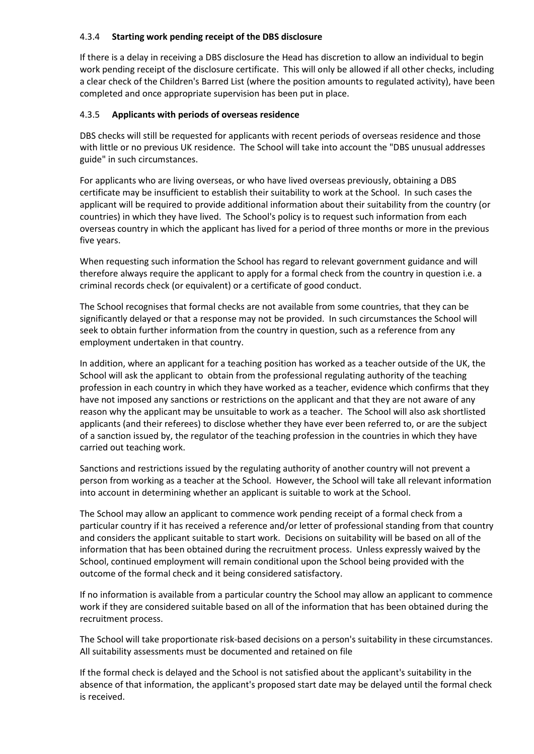#### 4.3.4 **Starting work pending receipt of the DBS disclosure**

If there is a delay in receiving a DBS disclosure the Head has discretion to allow an individual to begin work pending receipt of the disclosure certificate. This will only be allowed if all other checks, including a clear check of the Children's Barred List (where the position amounts to regulated activity), have been completed and once appropriate supervision has been put in place.

#### 4.3.5 **Applicants with periods of overseas residence**

DBS checks will still be requested for applicants with recent periods of overseas residence and those with little or no previous UK residence. The School will take into account the "DBS unusual addresses guide" in such circumstances.

For applicants who are living overseas, or who have lived overseas previously, obtaining a DBS certificate may be insufficient to establish their suitability to work at the School. In such cases the applicant will be required to provide additional information about their suitability from the country (or countries) in which they have lived. The School's policy is to request such information from each overseas country in which the applicant has lived for a period of three months or more in the previous five years.

When requesting such information the School has regard to relevant government guidance and will therefore always require the applicant to apply for a formal check from the country in question i.e. a criminal records check (or equivalent) or a certificate of good conduct.

The School recognises that formal checks are not available from some countries, that they can be significantly delayed or that a response may not be provided. In such circumstances the School will seek to obtain further information from the country in question, such as a reference from any employment undertaken in that country.

In addition, where an applicant for a teaching position has worked as a teacher outside of the UK, the School will ask the applicant to obtain from the professional regulating authority of the teaching profession in each country in which they have worked as a teacher, evidence which confirms that they have not imposed any sanctions or restrictions on the applicant and that they are not aware of any reason why the applicant may be unsuitable to work as a teacher. The School will also ask shortlisted applicants (and their referees) to disclose whether they have ever been referred to, or are the subject of a sanction issued by, the regulator of the teaching profession in the countries in which they have carried out teaching work.

Sanctions and restrictions issued by the regulating authority of another country will not prevent a person from working as a teacher at the School. However, the School will take all relevant information into account in determining whether an applicant is suitable to work at the School.

The School may allow an applicant to commence work pending receipt of a formal check from a particular country if it has received a reference and/or letter of professional standing from that country and considers the applicant suitable to start work. Decisions on suitability will be based on all of the information that has been obtained during the recruitment process. Unless expressly waived by the School, continued employment will remain conditional upon the School being provided with the outcome of the formal check and it being considered satisfactory.

If no information is available from a particular country the School may allow an applicant to commence work if they are considered suitable based on all of the information that has been obtained during the recruitment process.

The School will take proportionate risk-based decisions on a person's suitability in these circumstances. All suitability assessments must be documented and retained on file

If the formal check is delayed and the School is not satisfied about the applicant's suitability in the absence of that information, the applicant's proposed start date may be delayed until the formal check is received.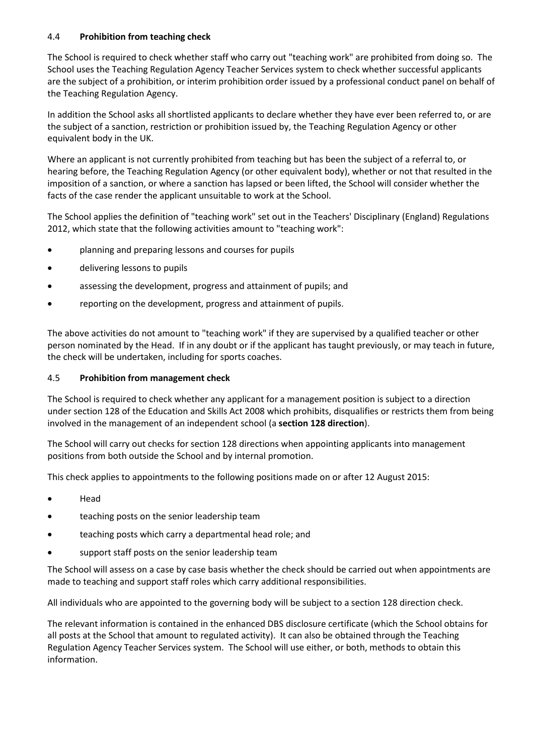#### 4.4 **Prohibition from teaching check**

The School is required to check whether staff who carry out "teaching work" are prohibited from doing so. The School uses the Teaching Regulation Agency Teacher Services system to check whether successful applicants are the subject of a prohibition, or interim prohibition order issued by a professional conduct panel on behalf of the Teaching Regulation Agency.

In addition the School asks all shortlisted applicants to declare whether they have ever been referred to, or are the subject of a sanction, restriction or prohibition issued by, the Teaching Regulation Agency or other equivalent body in the UK.

Where an applicant is not currently prohibited from teaching but has been the subject of a referral to, or hearing before, the Teaching Regulation Agency (or other equivalent body), whether or not that resulted in the imposition of a sanction, or where a sanction has lapsed or been lifted, the School will consider whether the facts of the case render the applicant unsuitable to work at the School.

The School applies the definition of "teaching work" set out in the Teachers' Disciplinary (England) Regulations 2012, which state that the following activities amount to "teaching work":

- planning and preparing lessons and courses for pupils
- delivering lessons to pupils
- assessing the development, progress and attainment of pupils; and
- reporting on the development, progress and attainment of pupils.

The above activities do not amount to "teaching work" if they are supervised by a qualified teacher or other person nominated by the Head. If in any doubt or if the applicant has taught previously, or may teach in future, the check will be undertaken, including for sports coaches.

# 4.5 **Prohibition from management check**

The School is required to check whether any applicant for a management position is subject to a direction under section 128 of the Education and Skills Act 2008 which prohibits, disqualifies or restricts them from being involved in the management of an independent school (a **section 128 direction**).

The School will carry out checks for section 128 directions when appointing applicants into management positions from both outside the School and by internal promotion.

This check applies to appointments to the following positions made on or after 12 August 2015:

- Head
- teaching posts on the senior leadership team
- teaching posts which carry a departmental head role; and
- support staff posts on the senior leadership team

The School will assess on a case by case basis whether the check should be carried out when appointments are made to teaching and support staff roles which carry additional responsibilities.

All individuals who are appointed to the governing body will be subject to a section 128 direction check.

The relevant information is contained in the enhanced DBS disclosure certificate (which the School obtains for all posts at the School that amount to regulated activity). It can also be obtained through the Teaching Regulation Agency Teacher Services system. The School will use either, or both, methods to obtain this information.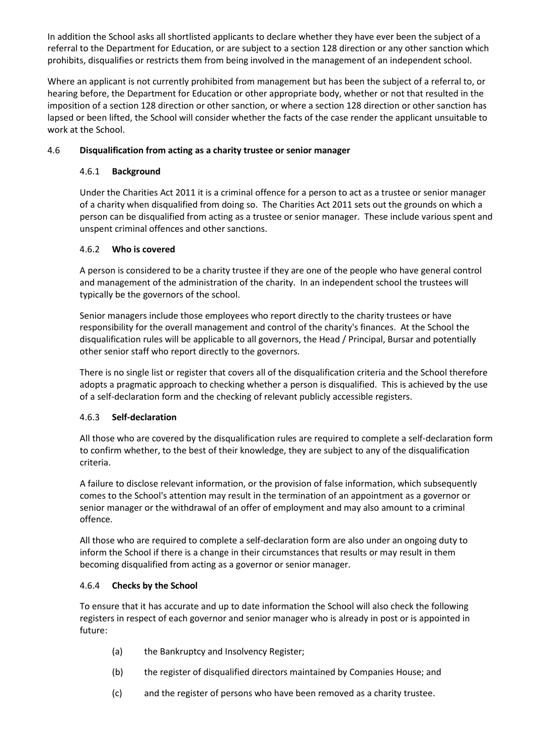In addition the School asks all shortlisted applicants to declare whether they have ever been the subject of a referral to the Department for Education, or are subject to a section 128 direction or any other sanction which prohibits, disqualifies or restricts them from being involved in the management of an independent school.

Where an applicant is not currently prohibited from management but has been the subject of a referral to, or hearing before, the Department for Education or other appropriate body, whether or not that resulted in the imposition of a section 128 direction or other sanction, or where a section 128 direction or other sanction has lapsed or been lifted, the School will consider whether the facts of the case render the applicant unsuitable to work at the School.

# <span id="page-9-0"></span>4.6 **Disqualification from acting as a charity trustee or senior manager**

# 4.6.1 **Background**

Under the Charities Act 2011 it is a criminal offence for a person to act as a trustee or senior manager of a charity when disqualified from doing so. The Charities Act 2011 sets out the grounds on which a person can be disqualified from acting as a trustee or senior manager. These include various spent and unspent criminal offences and other sanctions.

# 4.6.2 **Who is covered**

A person is considered to be a charity trustee if they are one of the people who have general control and management of the administration of the charity. In an independent school the trustees will typically be the governors of the school.

Senior managers include those employees who report directly to the charity trustees or have responsibility for the overall management and control of the charity's finances. At the School the disqualification rules will be applicable to all governors, the Head / Principal, Bursar and potentially other senior staff who report directly to the governors.

There is no single list or register that covers all of the disqualification criteria and the School therefore adopts a pragmatic approach to checking whether a person is disqualified. This is achieved by the use of a self-declaration form and the checking of relevant publicly accessible registers.

# 4.6.3 **Self-declaration**

All those who are covered by the disqualification rules are required to complete a self-declaration form to confirm whether, to the best of their knowledge, they are subject to any of the disqualification criteria.

A failure to disclose relevant information, or the provision of false information, which subsequently comes to the School's attention may result in the termination of an appointment as a governor or senior manager or the withdrawal of an offer of employment and may also amount to a criminal offence.

All those who are required to complete a self-declaration form are also under an ongoing duty to inform the School if there is a change in their circumstances that results or may result in them becoming disqualified from acting as a governor or senior manager.

# 4.6.4 **Checks by the School**

To ensure that it has accurate and up to date information the School will also check the following registers in respect of each governor and senior manager who is already in post or is appointed in future:

- (a) the Bankruptcy and Insolvency Register;
- (b) the register of disqualified directors maintained by Companies House; and
- (c) and the register of persons who have been removed as a charity trustee.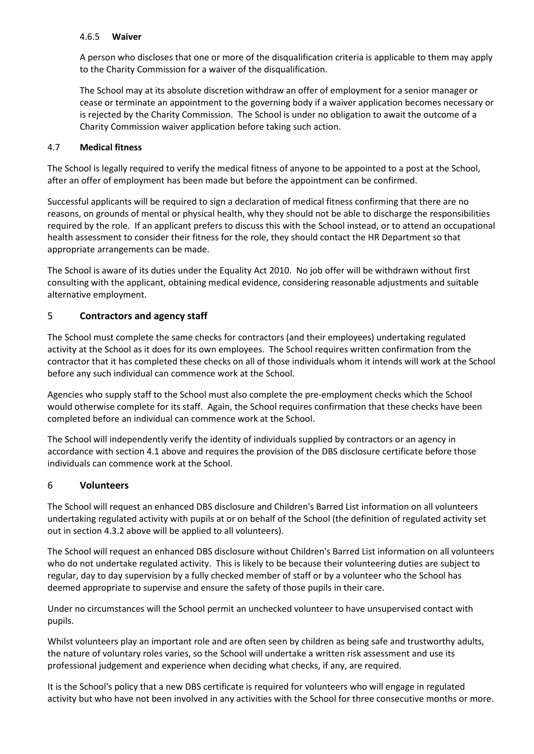#### 4.6.5 **Waiver**

A person who discloses that one or more of the disqualification criteria is applicable to them may apply to the Charity Commission for a waiver of the disqualification.

The School may at its absolute discretion withdraw an offer of employment for a senior manager or cease or terminate an appointment to the governing body if a waiver application becomes necessary or is rejected by the Charity Commission. The School is under no obligation to await the outcome of a Charity Commission waiver application before taking such action.

#### <span id="page-10-0"></span>4.7 **Medical fitness**

The School is legally required to verify the medical fitness of anyone to be appointed to a post at the School, after an offer of employment has been made but before the appointment can be confirmed.

Successful applicants will be required to sign a declaration of medical fitness confirming that there are no reasons, on grounds of mental or physical health, why they should not be able to discharge the responsibilities required by the role. If an applicant prefers to discuss this with the School instead, or to attend an occupational health assessment to consider their fitness for the role, they should contact the HR Department so that appropriate arrangements can be made.

The School is aware of its duties under the Equality Act 2010. No job offer will be withdrawn without first consulting with the applicant, obtaining medical evidence, considering reasonable adjustments and suitable alternative employment.

# 5 **Contractors and agency staff**

The School must complete the same checks for contractors (and their employees) undertaking regulated activity at the School as it does for its own employees. The School requires written confirmation from the contractor that it has completed these checks on all of those individuals whom it intends will work at the School before any such individual can commence work at the School.

Agencies who supply staff to the School must also complete the pre-employment checks which the School would otherwise complete for its staff. Again, the School requires confirmation that these checks have been completed before an individual can commence work at the School.

The School will independently verify the identity of individuals supplied by contractors or an agency in accordance with sectio[n 4.1](#page-3-0) above and requires the provision of the DBS disclosure certificate before those individuals can commence work at the School.

# 6 **Volunteers**

The School will request an enhanced DBS disclosure and Children's Barred List information on all volunteers undertaking regulated activity with pupils at or on behalf of the School (the definition of regulated activity set out in section [4.3.2](#page-6-0) above will be applied to all volunteers).

The School will request an enhanced DBS disclosure without Children's Barred List information on all volunteers who do not undertake regulated activity. This is likely to be because their volunteering duties are subject to regular, day to day supervision by a fully checked member of staff or by a volunteer who the School has deemed appropriate to supervise and ensure the safety of those pupils in their care.

Under no circumstances will the School permit an unchecked volunteer to have unsupervised contact with pupils.

Whilst volunteers play an important role and are often seen by children as being safe and trustworthy adults, the nature of voluntary roles varies, so the School will undertake a written risk assessment and use its professional judgement and experience when deciding what checks, if any, are required.

It is the School's policy that a new DBS certificate is required for volunteers who will engage in regulated activity but who have not been involved in any activities with the School for three consecutive months or more.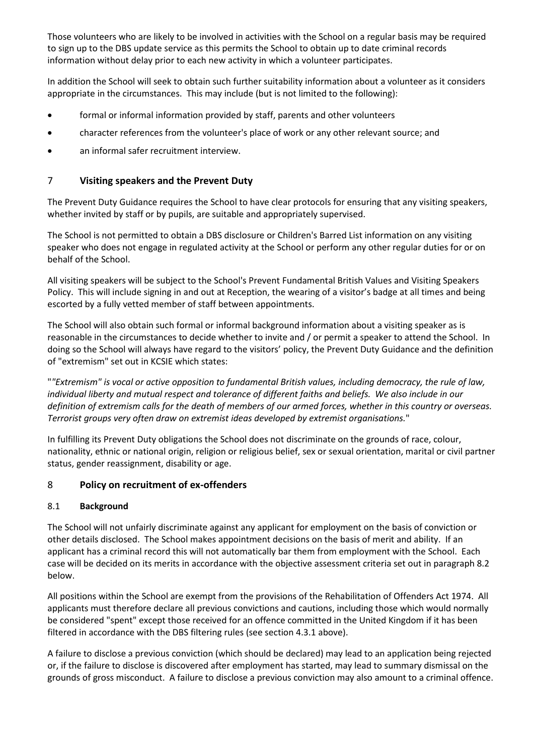Those volunteers who are likely to be involved in activities with the School on a regular basis may be required to sign up to the DBS update service as this permits the School to obtain up to date criminal records information without delay prior to each new activity in which a volunteer participates.

In addition the School will seek to obtain such further suitability information about a volunteer as it considers appropriate in the circumstances. This may include (but is not limited to the following):

- formal or informal information provided by staff, parents and other volunteers
- character references from the volunteer's place of work or any other relevant source; and
- an informal safer recruitment interview.

# <span id="page-11-0"></span>7 **Visiting speakers and the Prevent Duty**

The Prevent Duty Guidance requires the School to have clear protocols for ensuring that any visiting speakers, whether invited by staff or by pupils, are suitable and appropriately supervised.

The School is not permitted to obtain a DBS disclosure or Children's Barred List information on any visiting speaker who does not engage in regulated activity at the School or perform any other regular duties for or on behalf of the School.

All visiting speakers will be subject to the School's Prevent Fundamental British Values and Visiting Speakers Policy. This will include signing in and out at Reception, the wearing of a visitor's badge at all times and being escorted by a fully vetted member of staff between appointments.

The School will also obtain such formal or informal background information about a visiting speaker as is reasonable in the circumstances to decide whether to invite and / or permit a speaker to attend the School. In doing so the School will always have regard to the visitors' policy, the Prevent Duty Guidance and the definition of "extremism" set out in KCSIE which states:

"*"Extremism" is vocal or active opposition to fundamental British values, including democracy, the rule of law, individual liberty and mutual respect and tolerance of different faiths and beliefs. We also include in our definition of extremism calls for the death of members of our armed forces, whether in this country or overseas. Terrorist groups very often draw on extremist ideas developed by extremist organisations.*"

In fulfilling its Prevent Duty obligations the School does not discriminate on the grounds of race, colour, nationality, ethnic or national origin, religion or religious belief, sex or sexual orientation, marital or civil partner status, gender reassignment, disability or age.

# 8 **Policy on recruitment of ex-offenders**

# 8.1 **Background**

The School will not unfairly discriminate against any applicant for employment on the basis of conviction or other details disclosed. The School makes appointment decisions on the basis of merit and ability. If an applicant has a criminal record this will not automatically bar them from employment with the School. Each case will be decided on its merits in accordance with the objective assessment criteria set out in paragraph [8.2](#page-12-0) below.

All positions within the School are exempt from the provisions of the Rehabilitation of Offenders Act 1974. All applicants must therefore declare all previous convictions and cautions, including those which would normally be considered "spent" except those received for an offence committed in the United Kingdom if it has been filtered in accordance with the DBS filtering rules (see section [4.3.1](#page-5-0) above).

A failure to disclose a previous conviction (which should be declared) may lead to an application being rejected or, if the failure to disclose is discovered after employment has started, may lead to summary dismissal on the grounds of gross misconduct. A failure to disclose a previous conviction may also amount to a criminal offence.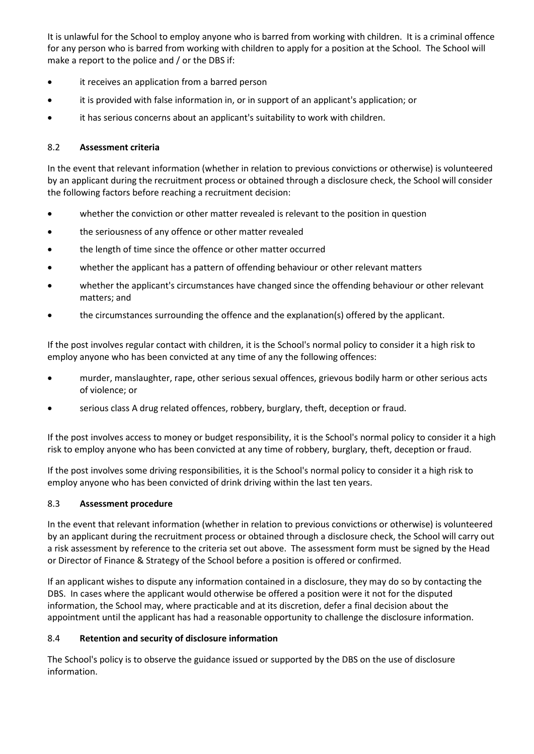It is unlawful for the School to employ anyone who is barred from working with children. It is a criminal offence for any person who is barred from working with children to apply for a position at the School. The School will make a report to the police and / or the DBS if:

- it receives an application from a barred person
- it is provided with false information in, or in support of an applicant's application; or
- it has serious concerns about an applicant's suitability to work with children.

# <span id="page-12-0"></span>8.2 **Assessment criteria**

In the event that relevant information (whether in relation to previous convictions or otherwise) is volunteered by an applicant during the recruitment process or obtained through a disclosure check, the School will consider the following factors before reaching a recruitment decision:

- whether the conviction or other matter revealed is relevant to the position in question
- the seriousness of any offence or other matter revealed
- the length of time since the offence or other matter occurred
- whether the applicant has a pattern of offending behaviour or other relevant matters
- whether the applicant's circumstances have changed since the offending behaviour or other relevant matters; and
- the circumstances surrounding the offence and the explanation(s) offered by the applicant.

If the post involves regular contact with children, it is the School's normal policy to consider it a high risk to employ anyone who has been convicted at any time of any the following offences:

- murder, manslaughter, rape, other serious sexual offences, grievous bodily harm or other serious acts of violence; or
- serious class A drug related offences, robbery, burglary, theft, deception or fraud.

If the post involves access to money or budget responsibility, it is the School's normal policy to consider it a high risk to employ anyone who has been convicted at any time of robbery, burglary, theft, deception or fraud.

If the post involves some driving responsibilities, it is the School's normal policy to consider it a high risk to employ anyone who has been convicted of drink driving within the last ten years.

# 8.3 **Assessment procedure**

In the event that relevant information (whether in relation to previous convictions or otherwise) is volunteered by an applicant during the recruitment process or obtained through a disclosure check, the School will carry out a risk assessment by reference to the criteria set out above. The assessment form must be signed by the Head or Director of Finance & Strategy of the School before a position is offered or confirmed.

If an applicant wishes to dispute any information contained in a disclosure, they may do so by contacting the DBS. In cases where the applicant would otherwise be offered a position were it not for the disputed information, the School may, where practicable and at its discretion, defer a final decision about the appointment until the applicant has had a reasonable opportunity to challenge the disclosure information.

# 8.4 **Retention and security of disclosure information**

The School's policy is to observe the guidance issued or supported by the DBS on the use of disclosure information.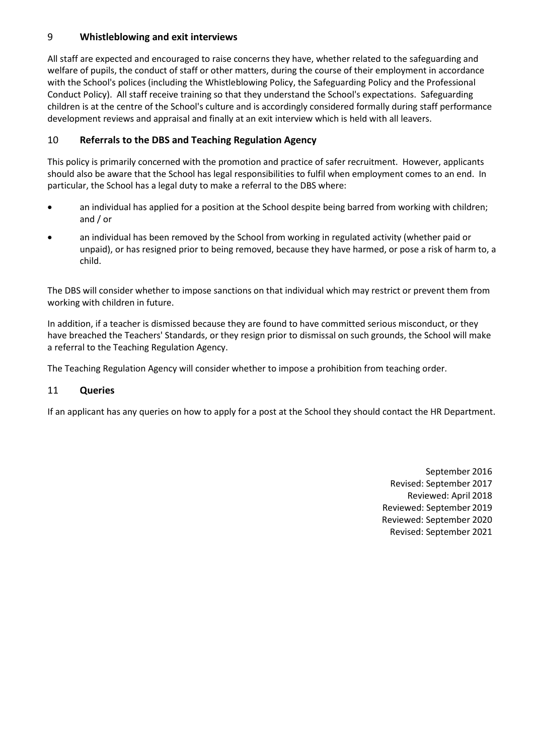# 9 **Whistleblowing and exit interviews**

All staff are expected and encouraged to raise concerns they have, whether related to the safeguarding and welfare of pupils, the conduct of staff or other matters, during the course of their employment in accordance with the School's polices (including the Whistleblowing Policy, the Safeguarding Policy and the Professional Conduct Policy). All staff receive training so that they understand the School's expectations. Safeguarding children is at the centre of the School's culture and is accordingly considered formally during staff performance development reviews and appraisal and finally at an exit interview which is held with all leavers.

# 10 **Referrals to the DBS and Teaching Regulation Agency**

This policy is primarily concerned with the promotion and practice of safer recruitment. However, applicants should also be aware that the School has legal responsibilities to fulfil when employment comes to an end. In particular, the School has a legal duty to make a referral to the DBS where:

- an individual has applied for a position at the School despite being barred from working with children; and / or
- an individual has been removed by the School from working in regulated activity (whether paid or unpaid), or has resigned prior to being removed, because they have harmed, or pose a risk of harm to, a child.

The DBS will consider whether to impose sanctions on that individual which may restrict or prevent them from working with children in future.

In addition, if a teacher is dismissed because they are found to have committed serious misconduct, or they have breached the Teachers' Standards, or they resign prior to dismissal on such grounds, the School will make a referral to the Teaching Regulation Agency.

The Teaching Regulation Agency will consider whether to impose a prohibition from teaching order.

# 11 **Queries**

If an applicant has any queries on how to apply for a post at the School they should contact the HR Department.

September 2016 Revised: September 2017 Reviewed: April 2018 Reviewed: September 2019 Reviewed: September 2020 Revised: September 2021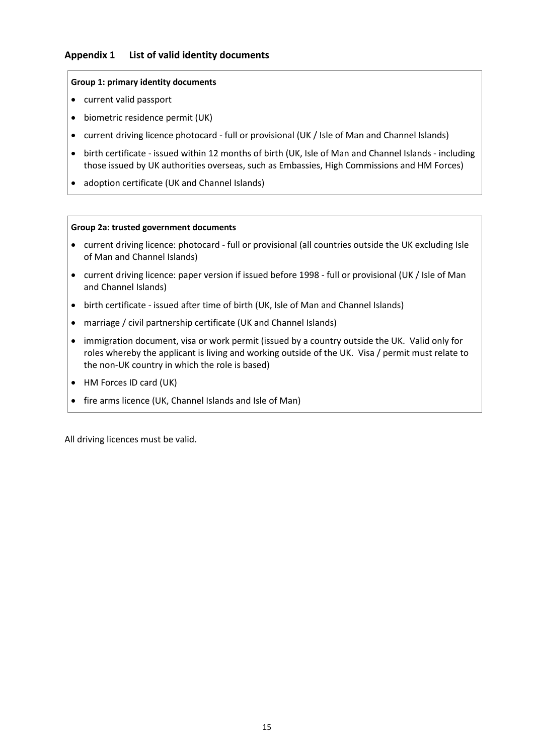# <span id="page-14-0"></span>**Appendix 1 List of valid identity documents**

#### **Group 1: primary identity documents**

- current valid passport
- biometric residence permit (UK)
- current driving licence photocard full or provisional (UK / Isle of Man and Channel Islands)
- birth certificate issued within 12 months of birth (UK, Isle of Man and Channel Islands including those issued by UK authorities overseas, such as Embassies, High Commissions and HM Forces)
- adoption certificate (UK and Channel Islands)

#### **Group 2a: trusted government documents**

- current driving licence: photocard full or provisional (all countries outside the UK excluding Isle of Man and Channel Islands)
- current driving licence: paper version if issued before 1998 full or provisional (UK / Isle of Man and Channel Islands)
- birth certificate issued after time of birth (UK, Isle of Man and Channel Islands)
- marriage / civil partnership certificate (UK and Channel Islands)
- immigration document, visa or work permit (issued by a country outside the UK. Valid only for roles whereby the applicant is living and working outside of the UK. Visa / permit must relate to the non-UK country in which the role is based)
- HM Forces ID card (UK)
- fire arms licence (UK, Channel Islands and Isle of Man)

All driving licences must be valid.